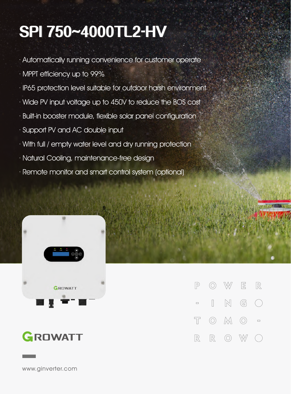## **SPI750~4000TL2-HV**

- · Automatically running convenience for customer operate
- · MPPT efficiency up to 99%
- · IP65 protection level suitable for outdoor harsh environment
- · Wide PV input voltage up to 450V to reduce the BOS cost
- · Built-in booster module, flexible solar panel configuration
- · Support PV and AC double input
- · With full / empty water level and dry running protection
- · Natural Cooling, maintenance-free design
- · Remote monitor and smart control system (optional)







www.ginverter.com